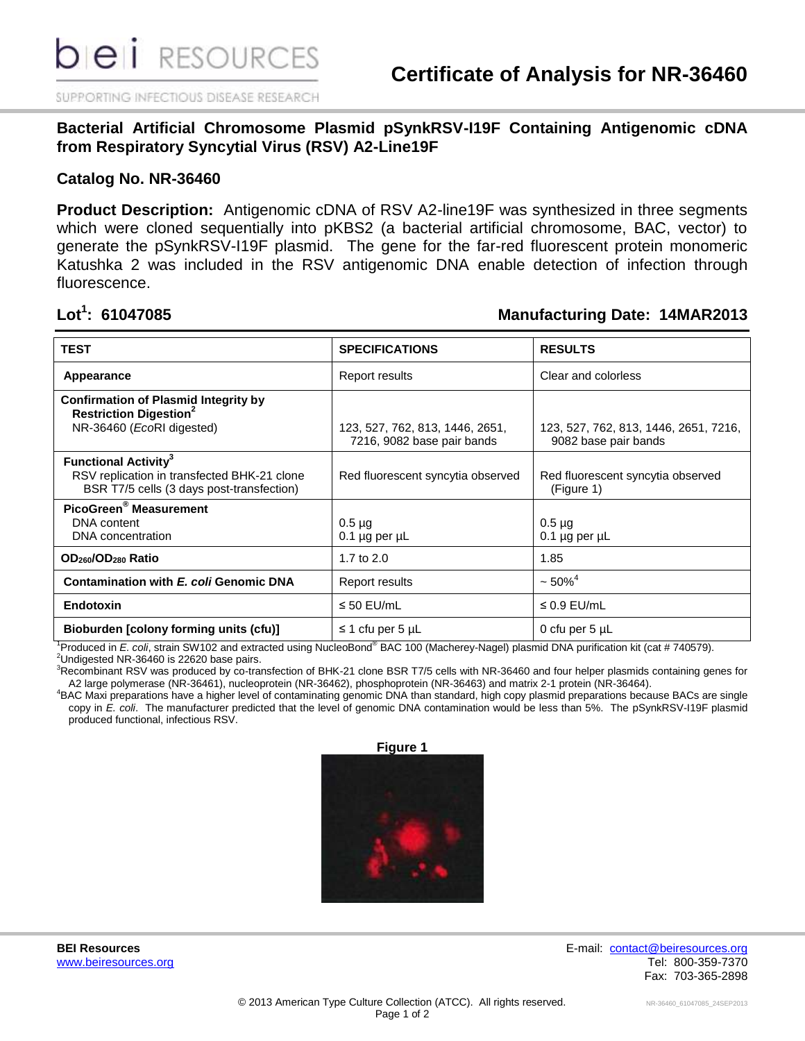SUPPORTING INFECTIOUS DISEASE RESEARCH

**Bacterial Artificial Chromosome Plasmid pSynkRSV-I19F Containing Antigenomic cDNA from Respiratory Syncytial Virus (RSV) A2-Line19F**

## **Catalog No. NR-36460**

**Product Description:** Antigenomic cDNA of RSV A2-line19F was synthesized in three segments which were cloned sequentially into pKBS2 (a bacterial artificial chromosome, BAC, vector) to generate the pSynkRSV-I19F plasmid. The gene for the far-red fluorescent protein monomeric Katushka 2 was included in the RSV antigenomic DNA enable detection of infection through fluorescence.

## Lot<sup>1</sup>: 61047085

## **: 61047085 Manufacturing Date: 14MAR2013**

| <b>TEST</b>                                                                                                                        | <b>SPECIFICATIONS</b>                                         | <b>RESULTS</b>                                                |
|------------------------------------------------------------------------------------------------------------------------------------|---------------------------------------------------------------|---------------------------------------------------------------|
| Appearance                                                                                                                         | Report results                                                | Clear and colorless                                           |
| <b>Confirmation of Plasmid Integrity by</b><br><b>Restriction Digestion<sup>2</sup></b><br>NR-36460 (EcoRI digested)               | 123, 527, 762, 813, 1446, 2651,<br>7216, 9082 base pair bands | 123, 527, 762, 813, 1446, 2651, 7216,<br>9082 base pair bands |
| <b>Functional Activity<sup>3</sup></b><br>RSV replication in transfected BHK-21 clone<br>BSR T7/5 cells (3 days post-transfection) | Red fluorescent syncytia observed                             | Red fluorescent syncytia observed<br>(Figure 1)               |
| PicoGreen <sup>®</sup> Measurement<br>DNA content<br>DNA concentration                                                             | $0.5 \mu$ g<br>$0.1$ µg per µL                                | $0.5 \mu q$<br>$0.1 \mu g$ per $\mu L$                        |
| OD <sub>260</sub> /OD <sub>280</sub> Ratio                                                                                         | 1.7 to $2.0$                                                  | 1.85                                                          |
| Contamination with E. coli Genomic DNA                                                                                             | Report results                                                | $~50\%$ <sup>4</sup>                                          |
| Endotoxin                                                                                                                          | $\leq$ 50 EU/mL                                               | $\leq$ 0.9 EU/mL                                              |
| Bioburden [colony forming units (cfu)]                                                                                             | $\leq$ 1 cfu per 5 µL                                         | 0 cfu per $5 \mu L$                                           |

<sup>1</sup>Produced in *E. coli*, strain SW102 and extracted using NucleoBond® BAC 100 (Macherey-Nagel) plasmid DNA purification kit (cat # 740579).

 $2$ Undigested NR-36460 is 22620 base pairs.

<sup>3</sup>Recombinant RSV was produced by co-transfection of BHK-21 clone BSR T7/5 cells with NR-36460 and four helper plasmids containing genes for A2 large polymerase (NR-36461), nucleoprotein (NR-36462), phosphoprotein (NR-36463) and matrix 2-1 protein (NR-36464).

<sup>4</sup>BAC Maxi preparations have a higher level of contaminating genomic DNA than standard, high copy plasmid preparations because BACs are single copy in *E. coli*. The manufacturer predicted that the level of genomic DNA contamination would be less than 5%. The pSynkRSV-I19F plasmid produced functional, infectious RSV.